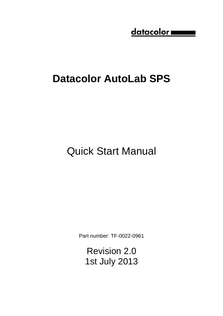$ddata color$ 

# **Datacolor AutoLab SPS**

Quick Start Manual

Part number: TF-0022-0961

Revision 2.0 1st July 2013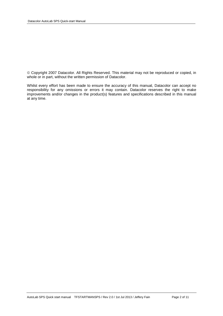Copyright 2007 Datacolor. All Rights Reserved. This material may not be reproduced or copied, in whole or in part, without the written permission of Datacolor.

Whilst every effort has been made to ensure the accuracy of this manual, Datacolor can accept no responsibility for any omissions or errors it may contain. Datacolor reserves the right to make improvements and/or changes in the product(s) features and specifications described in this manual at any time.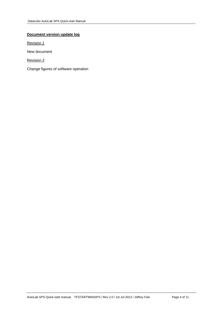## **Document version update log**

Revision 1

New document

Revision 2

Change figures of software operation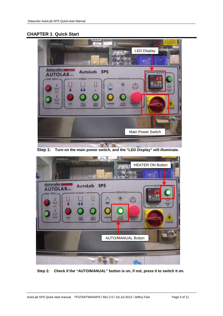# **CHAPTER 1**: **Quick Start**



**Step 1: Turn on the main power switch, and the "LED Display" will illuminate.**



**Step 2: Check if the "AUTO/MANUAL" button is on, if not, press it to switch it on.**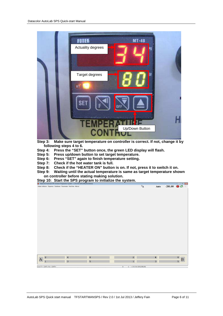

**Step 3: Make sure target temperature on controller is correct. If not, change it by following steps 4 to 6.** 

- **Step 4: Press the "SET" button once, the green LED display will flash.**
- **Step 5: Press up/down button to set target temperature.**
- **Step 6: Press "SET" again to finish temperature setting.**
- **Step 7: Check if the hot water tank is full.**
- **Step 8: Check if the "HEATER ON" button is on. If not, press it to switch it on.**
- **Step 9: Waiting until the actual temperature is same as target temperature shown on controller before stating making solution.**
- **Step 10: Start the SPS program to initialize the system.**

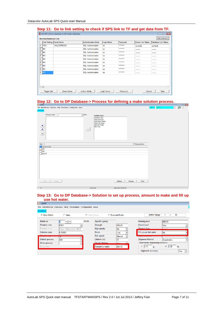|                  |                              | 0.00 TH OC 10 min 00.000 g to 0.1000. If OF 0 min 10 TH and got data from TH<br>Link SPS Solution database to DP solution database |                            |            |                 |                           | $\begin{array}{c c c c c c} \hline \multicolumn{3}{c }{\mathbf{C}} & \multicolumn{3}{c }{\mathbf{C}} & \multicolumn{3}{c }{\mathbf{X}} \end{array}$ |
|------------------|------------------------------|------------------------------------------------------------------------------------------------------------------------------------|----------------------------|------------|-----------------|---------------------------|-----------------------------------------------------------------------------------------------------------------------------------------------------|
|                  | <b>Machine/Database Link</b> |                                                                                                                                    |                            |            |                 |                           | <b>Test Connect</b>                                                                                                                                 |
|                  | <b>Link Setting</b>          | Server Name                                                                                                                        | <b>Authentication Mode</b> | Login Name | Password        | <b>Server Link Status</b> | <b>Database Link Status</b>                                                                                                                         |
|                  | <b>YES</b>                   | <b>ISQLEXPRESS</b>                                                                                                                 | <b>SQL</b> Authentication  | sa         | ********        | (Linked)                  | (Linked)                                                                                                                                            |
| $\overline{2}$   | <b>NO</b>                    |                                                                                                                                    | <b>SQL Authentication</b>  | sa         | ********        | --------                  | --------                                                                                                                                            |
| 3                | <b>NO</b>                    |                                                                                                                                    | <b>SQL Authentication</b>  | sa         | ********        | -------                   | --------                                                                                                                                            |
| 4                | <b>NO</b>                    |                                                                                                                                    | <b>SQL Authentication</b>  | sa         | ********        |                           | ------                                                                                                                                              |
| 5                | <b>NO</b>                    |                                                                                                                                    | <b>SQL Authentication</b>  | sa         | ********        | -------                   | -------                                                                                                                                             |
| $\overline{6}$   | <b>NO</b>                    |                                                                                                                                    | <b>SQL Authentication</b>  | sa         | ********        | --------                  | --------                                                                                                                                            |
| 7                | <b>NO</b>                    |                                                                                                                                    | <b>SQL Authentication</b>  | sa         | ********        | --------                  | --------                                                                                                                                            |
| $\boldsymbol{8}$ | <b>NO</b>                    |                                                                                                                                    | <b>SQL Authentication</b>  | sa         | <b>RAARRAAR</b> | -------                   | -------                                                                                                                                             |
| 9                | <b>NO</b>                    |                                                                                                                                    | <b>SQL Authentication</b>  | sa         | ********        | -------                   | -------                                                                                                                                             |
|                  | $\leftarrow$                 |                                                                                                                                    |                            |            |                 |                           | $\blacktriangleright$                                                                                                                               |
|                  | <b>Toggle Link</b>           | <b>Server Name</b>                                                                                                                 | Authen, Mode               | Login Name | Password        | Cancel                    | Save                                                                                                                                                |

## **Step 11: Go to link setting to check if SPS link to TF and get data from TF.**

### **Step 12: Go to DP Database-> Process for defining a make solution process.**

| <b>DP LA600</b>                                                                                                                                                                                                                                                                                                                                                                                                                                                                                                                                                                     |                                                                                                                                |                                       |
|-------------------------------------------------------------------------------------------------------------------------------------------------------------------------------------------------------------------------------------------------------------------------------------------------------------------------------------------------------------------------------------------------------------------------------------------------------------------------------------------------------------------------------------------------------------------------------------|--------------------------------------------------------------------------------------------------------------------------------|---------------------------------------|
| File Batch/Recipe Database Utility Parameters Configuration About                                                                                                                                                                                                                                                                                                                                                                                                                                                                                                                   |                                                                                                                                | 13 ※<br>F<br>User A<br>$\overline{1}$ |
| Process                                                                                                                                                                                                                                                                                                                                                                                                                                                                                                                                                                             |                                                                                                                                |                                       |
| $\blacksquare$ New<br>Process code<br>$\begin{array}{c c}\n\bullet \\ \hline\n\bullet\n\end{array}$<br>$\begin{tabular}{ c c } \hline \multicolumn{3}{ c }{\textbf{Del}}\\ \hline \multicolumn{3}{ c }{\textbf{Del}}\\ \hline \multicolumn{3}{ c }{\textbf{Del}}\\ \hline \multicolumn{3}{ c }{\textbf{Del}}\\ \hline \multicolumn{3}{ c }{\textbf{Del}}\\ \hline \multicolumn{3}{ c }{\textbf{Del}}\\ \hline \multicolumn{3}{ c }{\textbf{Del}}\\ \hline \multicolumn{3}{ c }{\textbf{Del}}\\ \hline \multicolumn{3}{ c }{\textbf{Del}}\\ \hline \multicolumn{3}{ c }{\textbf{Del$ | Available steps<br>Add Raw Dye<br>Add Chemical<br>Add Warm Water<br>Add Cold Water<br>Add Hot Water<br>Mix Time<br>$\, < \, <$ |                                       |
|                                                                                                                                                                                                                                                                                                                                                                                                                                                                                                                                                                                     |                                                                                                                                |                                       |
| Total: 3<br>Process code                                                                                                                                                                                                                                                                                                                                                                                                                                                                                                                                                            | <b>Ⅳ</b> Keep previous                                                                                                         |                                       |
| A01                                                                                                                                                                                                                                                                                                                                                                                                                                                                                                                                                                                 |                                                                                                                                |                                       |
| A02                                                                                                                                                                                                                                                                                                                                                                                                                                                                                                                                                                                 |                                                                                                                                |                                       |
| <b>DILUTE</b>                                                                                                                                                                                                                                                                                                                                                                                                                                                                                                                                                                       |                                                                                                                                |                                       |
|                                                                                                                                                                                                                                                                                                                                                                                                                                                                                                                                                                                     |                                                                                                                                |                                       |
|                                                                                                                                                                                                                                                                                                                                                                                                                                                                                                                                                                                     |                                                                                                                                |                                       |
|                                                                                                                                                                                                                                                                                                                                                                                                                                                                                                                                                                                     |                                                                                                                                |                                       |
|                                                                                                                                                                                                                                                                                                                                                                                                                                                                                                                                                                                     |                                                                                                                                |                                       |
|                                                                                                                                                                                                                                                                                                                                                                                                                                                                                                                                                                                     |                                                                                                                                |                                       |
|                                                                                                                                                                                                                                                                                                                                                                                                                                                                                                                                                                                     |                                                                                                                                |                                       |
|                                                                                                                                                                                                                                                                                                                                                                                                                                                                                                                                                                                     |                                                                                                                                |                                       |
|                                                                                                                                                                                                                                                                                                                                                                                                                                                                                                                                                                                     |                                                                                                                                |                                       |
|                                                                                                                                                                                                                                                                                                                                                                                                                                                                                                                                                                                     |                                                                                                                                |                                       |
| Delete<br>Save                                                                                                                                                                                                                                                                                                                                                                                                                                                                                                                                                                      | Print<br>Refresh<br>Preview                                                                                                    |                                       |
|                                                                                                                                                                                                                                                                                                                                                                                                                                                                                                                                                                                     |                                                                                                                                |                                       |
| $\Box$                                                                                                                                                                                                                                                                                                                                                                                                                                                                                                                                                                              | V202h3<br>$(2012/9/310-31.45)$                                                                                                 |                                       |

#### **Step 13: Go to DP Database-> Solution to set up process, amount to make and fill up use hot water.**

| File                     | Batch/Recipe Database Utility Parameters Configuration About |               |                      |                   |                                  |                        |
|--------------------------|--------------------------------------------------------------|---------------|----------------------|-------------------|----------------------------------|------------------------|
| <b>Solution</b>          |                                                              |               |                      |                   |                                  |                        |
| C Main Bottle            | $\bigcirc$ Valve                                             |               | C Valve Paste        | C External Bottle | Bottle Range:                    | 80<br>---              |
| Bottle no.               |                                                              | <b>Modify</b> | Specific gravity     |                   | <b>Warning level</b>             | 200.00                 |
| Product code             | <b>P001</b>                                                  |               | <b>Strength</b>      | 100.00            | <b>Check Level</b>               | Yes                    |
| Product name             | Dianix Yellow AC-E NEW                                       |               | <b>High priority</b> | lNo.              | Product form                     | <b>Title</b>           |
| Solution conc.           | 0.15000                                                      |               | <b>Rinse</b>         | Low               | Fill up use hot water            | <b>INo</b>             |
| <b>Contract Contract</b> |                                                              |               | Pull speed           | Normal            |                                  |                        |
| Default process          | A01                                                          |               | Lifetime (hr)        | 72                | <b>Dispense Method</b>           | Gravimetric            |
| Dilute process           |                                                              |               | Check Lifetime       | <b>Von</b>        | Gravimetric dispensing tolerance |                        |
| Dilute from              |                                                              |               | Amount to make       | 800.00            | 0.02 <br>q                       | $\sigma$<br> 0.30<br>% |
|                          |                                                              |               |                      |                   | Approach accuracy                | Yes<br>▸               |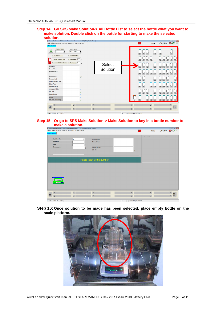#### **Step 14: Go SPS Make Solution-> All Bottle List to select the bottle what you want to make solution. Double click on the bottle for starting to make the selected solution.**

| Datacolor AutoLab SPS Solution Preparation System v 2.0.2 b3 (2012/06/26) (Demo) |              |                |                         |                      | $\sim$ $\sigma$ $\sim$           |
|----------------------------------------------------------------------------------|--------------|----------------|-------------------------|----------------------|----------------------------------|
| Make Solution Dispense Database Parameter Machine About                          |              |                |                         | ⇘<br>Auto            | ● 设 ※<br>$-201.00$               |
| <b>All Bottle List</b>                                                           |              |                |                         |                      |                                  |
| Machine Code<br><b>Bottle Range</b><br>$\mathbb{S}$<br>$ 001 - 160 $<br>٠        | $\star$      |                |                         | 80<br>48<br>64<br>72 | 16<br>40                         |
| <b>C</b> All Bottles<br>C Normal Bottles                                         |              |                |                         |                      |                                  |
| Pre-Caution 0<br><b>Below Warning Leve</b>                                       | $\mathbf{q}$ |                |                         | 63<br>55<br>79       | 23<br>39<br>15                   |
|                                                                                  | hr           | <b>Select</b>  |                         |                      |                                  |
| Bottle No.                                                                       |              |                |                         | 78<br>62<br>70<br>46 | $\overline{22}$                  |
| Product Code                                                                     |              | Solution       |                         |                      |                                  |
| Product Name                                                                     |              |                |                         |                      |                                  |
| Concentration                                                                    | gpl          |                |                         |                      |                                  |
| <b>Process Code</b>                                                              |              |                |                         | 76<br>68<br>44       | 36<br>20<br>$\overline{4}$       |
| <b>Dilute Process Code</b>                                                       |              |                |                         |                      |                                  |
| <b>Dilute From</b>                                                               |              |                |                         |                      |                                  |
| <b>Specific Gravity</b>                                                          |              |                |                         | 75<br>51<br>67<br>43 | 35<br>19<br>11<br>$\overline{3}$ |
| <b>Amount to Make</b>                                                            | $\mathbf{g}$ |                |                         |                      |                                  |
| Life Time                                                                        | hr           |                |                         | 66<br>74<br>58<br>42 | 34<br>10<br>$\overline{2}$       |
| <b>Safety Stock</b>                                                              | $\mathbf{g}$ |                |                         |                      | 18                               |
| <b>Stock</b>                                                                     | $\mathbf{g}$ |                |                         |                      |                                  |
| <b>Life Time Remaining</b>                                                       | hr           |                | 81                      | 73<br>57             |                                  |
|                                                                                  |              |                |                         |                      |                                  |
| $\boldsymbol{z}$<br>$\boldsymbol{4}$                                             |              | $6\phantom{1}$ | $\overline{\mathbf{z}}$ | 4                    | 6                                |
| A<br>$\vert$ 1<br>$\overline{3}$                                                 |              | $\overline{5}$ | $\mathbf{1}$            | 3                    | B<br>$\overline{5}$              |
|                                                                                  |              |                |                         |                      |                                  |

#### **Step 15: Or go to SPS Make Solution-> Make Solution to key in a bottle number to make a solution.**

| <b>Make Solution</b>      |                |                          |                            |              | C Raw Dye      | $\bullet$ Dilute |             |
|---------------------------|----------------|--------------------------|----------------------------|--------------|----------------|------------------|-------------|
| Machine No.               | 1              | $\overline{\phantom{a}}$ | <b>Product Code</b>        |              |                |                  |             |
| <b>Bottle No.</b>         |                |                          | <b>Product Name</b>        |              |                |                  |             |
| <b>Total</b>              |                |                          |                            |              |                |                  |             |
| Concentration             |                | gpl                      | <b>Specific Gravity</b>    |              |                |                  |             |
|                           |                |                          | Life Time                  | hr           |                |                  |             |
|                           |                |                          |                            |              |                |                  |             |
|                           |                |                          |                            |              |                |                  |             |
|                           |                |                          |                            |              |                |                  |             |
|                           |                |                          |                            |              |                |                  |             |
|                           |                |                          | Please Input Bottle number |              |                |                  |             |
|                           |                |                          |                            |              |                |                  |             |
|                           |                |                          |                            |              |                |                  |             |
|                           |                |                          |                            |              |                |                  |             |
|                           |                |                          |                            |              |                |                  |             |
|                           |                |                          |                            |              |                |                  |             |
|                           |                |                          |                            |              |                |                  |             |
|                           |                |                          |                            |              |                |                  |             |
|                           |                |                          |                            |              |                |                  |             |
| $-201.00$<br>oo TARE oo   |                |                          |                            |              |                |                  |             |
|                           |                |                          |                            |              |                |                  |             |
|                           |                |                          |                            |              |                |                  |             |
|                           |                |                          |                            |              |                |                  |             |
| $\boldsymbol{2}$<br>$A_1$ | $\overline{4}$ |                          | $\,6$                      | $\mathbf{z}$ | $\overline{4}$ |                  | $\,$ 6 $\,$ |

**Step 16: Once solution to be made has been selected, place empty bottle on the scale platform.**

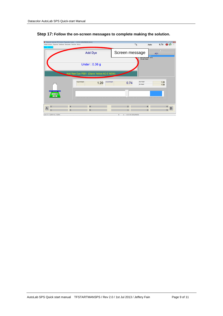## **Step 17: Follow the on-screen messages to complete making the solution.**

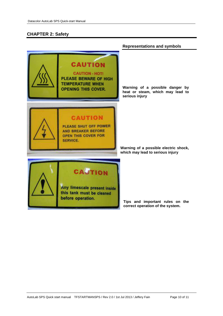## **CHAPTER 2: Safety**